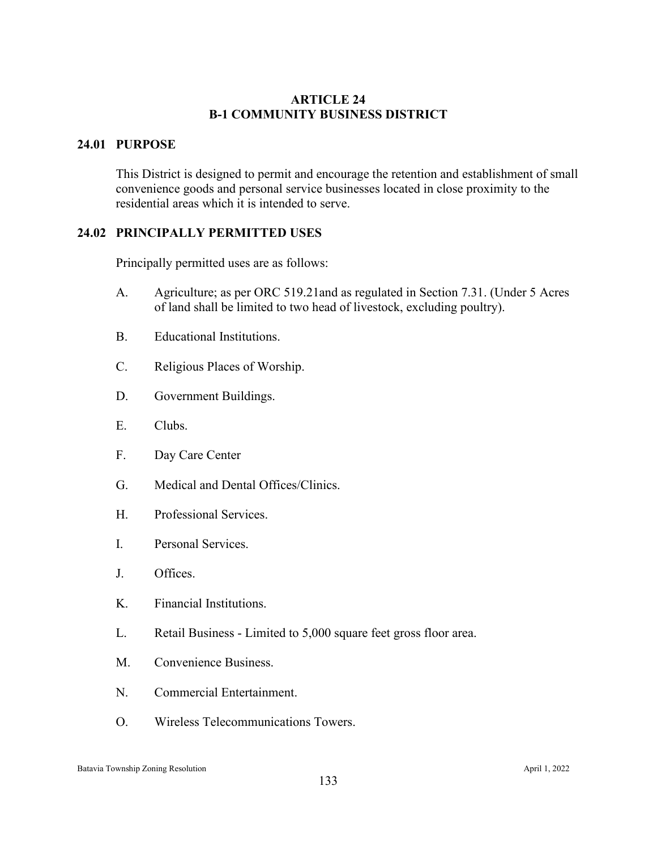## **ARTICLE 24 B-1 COMMUNITY BUSINESS DISTRICT**

## **24.01 PURPOSE**

This District is designed to permit and encourage the retention and establishment of small convenience goods and personal service businesses located in close proximity to the residential areas which it is intended to serve.

## **24.02 PRINCIPALLY PERMITTED USES**

Principally permitted uses are as follows:

- A. Agriculture; as per ORC 519.21and as regulated in Section 7.31. (Under 5 Acres of land shall be limited to two head of livestock, excluding poultry).
- B. Educational Institutions.
- C. Religious Places of Worship.
- D. Government Buildings.
- E. Clubs.
- F. Day Care Center
- G. Medical and Dental Offices/Clinics.
- H. Professional Services.
- I. Personal Services.
- J. Offices.
- K. Financial Institutions.
- L. Retail Business Limited to 5,000 square feet gross floor area.
- M. Convenience Business.
- N. Commercial Entertainment.
- O. Wireless Telecommunications Towers.

#### Batavia Township Zoning Resolution April 1, 2022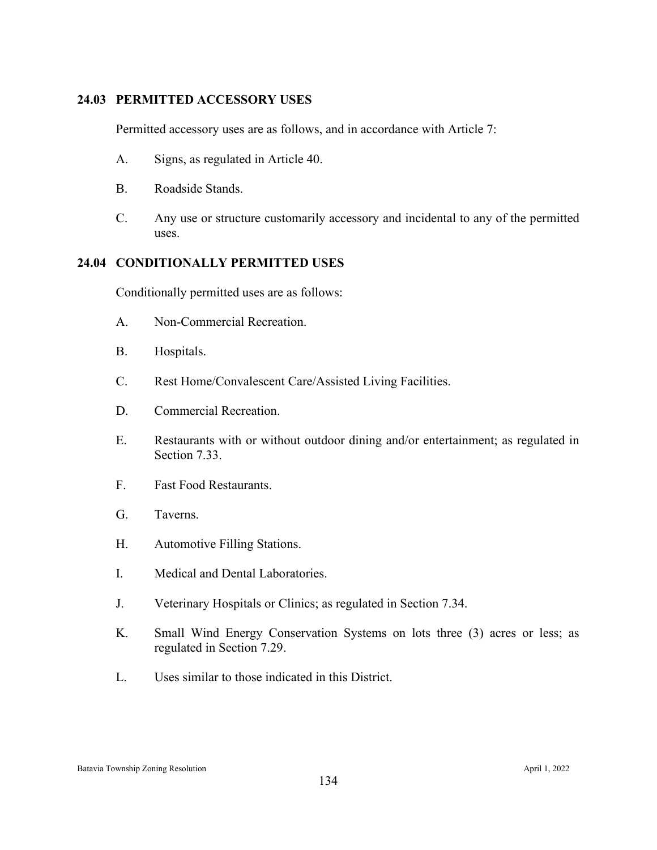## **24.03 PERMITTED ACCESSORY USES**

Permitted accessory uses are as follows, and in accordance with Article 7:

- A. Signs, as regulated in Article 40.
- B. Roadside Stands.
- C. Any use or structure customarily accessory and incidental to any of the permitted uses.

# **24.04 CONDITIONALLY PERMITTED USES**

Conditionally permitted uses are as follows:

- A. Non-Commercial Recreation.
- B. Hospitals.
- C. Rest Home/Convalescent Care/Assisted Living Facilities.
- D. Commercial Recreation.
- E. Restaurants with or without outdoor dining and/or entertainment; as regulated in Section 7.33.
- F. Fast Food Restaurants.
- G. Taverns.
- H. Automotive Filling Stations.
- I. Medical and Dental Laboratories.
- J. Veterinary Hospitals or Clinics; as regulated in Section 7.34.
- K. Small Wind Energy Conservation Systems on lots three (3) acres or less; as regulated in Section 7.29.
- L. Uses similar to those indicated in this District.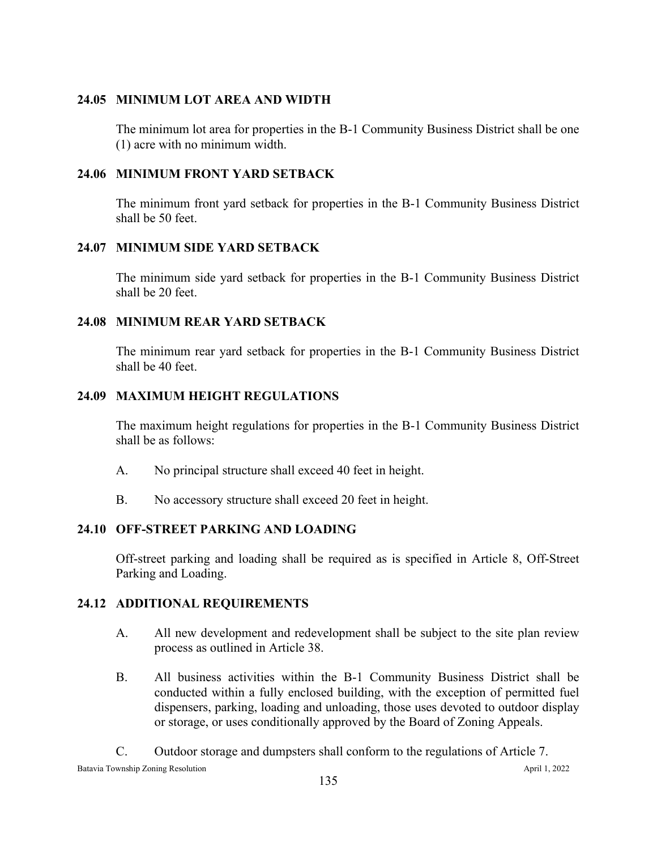## **24.05 MINIMUM LOT AREA AND WIDTH**

The minimum lot area for properties in the B-1 Community Business District shall be one (1) acre with no minimum width.

#### **24.06 MINIMUM FRONT YARD SETBACK**

The minimum front yard setback for properties in the B-1 Community Business District shall be 50 feet.

#### **24.07 MINIMUM SIDE YARD SETBACK**

The minimum side yard setback for properties in the B-1 Community Business District shall be 20 feet.

#### **24.08 MINIMUM REAR YARD SETBACK**

The minimum rear yard setback for properties in the B-1 Community Business District shall be 40 feet.

## **24.09 MAXIMUM HEIGHT REGULATIONS**

The maximum height regulations for properties in the B-1 Community Business District shall be as follows:

- A. No principal structure shall exceed 40 feet in height.
- B. No accessory structure shall exceed 20 feet in height.

## **24.10 OFF-STREET PARKING AND LOADING**

Off-street parking and loading shall be required as is specified in Article 8, Off-Street Parking and Loading.

#### **24.12 ADDITIONAL REQUIREMENTS**

- A. All new development and redevelopment shall be subject to the site plan review process as outlined in Article 38.
- B. All business activities within the B-1 Community Business District shall be conducted within a fully enclosed building, with the exception of permitted fuel dispensers, parking, loading and unloading, those uses devoted to outdoor display or storage, or uses conditionally approved by the Board of Zoning Appeals.

Batavia Township Zoning Resolution April 1, 2022 C. Outdoor storage and dumpsters shall conform to the regulations of Article 7.